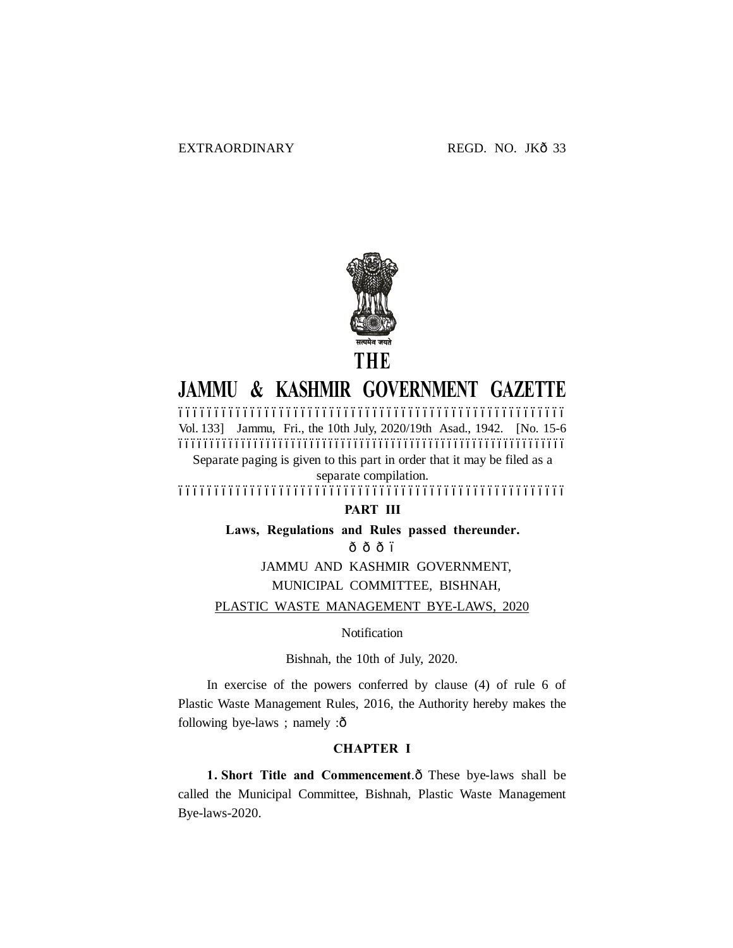

# **JAMMU & KASHMIR GOVERNMENT GAZETTE**

–––––––––––––––––––––––––––––––––––––––––––––––––––––– Vol. 133] Jammu, Fri., the 10th July, 2020/19th Asad., 1942. [No. 15-6 ––––––––––––––––––––––––––––––––––––––––––––––––––––––––––––––

Separate paging is given to this part in order that it may be filed as a separate compilation.

––––––––––––––––––––––––––––––––––––––––––––––––––––––

### **PART III**

**Laws, Regulations and Rules passed thereunder.**

 $\hat{0}$   $\hat{0}$   $\hat{0}$   $\hat{0}$ 

JAMMU AND KASHMIR GOVERNMENT, MUNICIPAL COMMITTEE, BISHNAH,

PLASTIC WASTE MANAGEMENT BYE-LAWS, 2020

Notification

Bishnah, the 10th of July, 2020.

In exercise of the powers conferred by clause (4) of rule 6 of Plastic Waste Management Rules, 2016, the Authority hereby makes the following bye-laws ; namely  $:\hat{o}$ 

#### **CHAPTER I**

**1. Short Title and Commencement.** $\hat{o}$  These bye-laws shall be called the Municipal Committee, Bishnah, Plastic Waste Management Bye-laws-2020.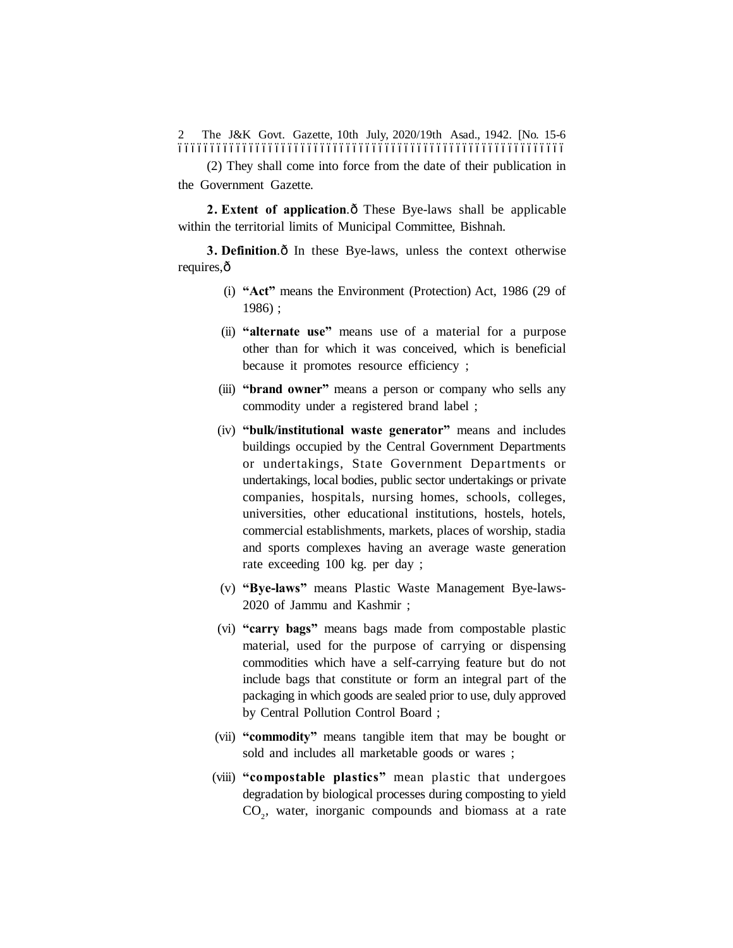The J&K Govt. Gazette, 10th July, 2020/19th Asad., 1942. [No. 15-6 –––––––––––––––––––––––––––––––––––––––––––––––––––––––––––– 2

(2) They shall come into force from the date of their publication in the Government Gazette.

**2. Extent of application.** $\hat{o}$  These Bye-laws shall be applicable within the territorial limits of Municipal Committee, Bishnah.

**3. Definition.** $\hat{o}$  In these Bye-laws, unless the context otherwise requires, ô

- (i) **"Act"** means the Environment (Protection) Act, 1986 (29 of 1986) ;
- (ii) **"alternate use"** means use of a material for a purpose other than for which it was conceived, which is beneficial because it promotes resource efficiency ;
- (iii) **"brand owner"** means a person or company who sells any commodity under a registered brand label ;
- (iv) **"bulk/institutional waste generator"** means and includes buildings occupied by the Central Government Departments or undertakings, State Government Departments or undertakings, local bodies, public sector undertakings or private companies, hospitals, nursing homes, schools, colleges, universities, other educational institutions, hostels, hotels, commercial establishments, markets, places of worship, stadia and sports complexes having an average waste generation rate exceeding 100 kg. per day ;
- (v) **"Bye-laws"** means Plastic Waste Management Bye-laws-2020 of Jammu and Kashmir ;
- (vi) **"carry bags"** means bags made from compostable plastic material, used for the purpose of carrying or dispensing commodities which have a self-carrying feature but do not include bags that constitute or form an integral part of the packaging in which goods are sealed prior to use, duly approved by Central Pollution Control Board ;
- (vii) **"commodity"** means tangible item that may be bought or sold and includes all marketable goods or wares ;
- (viii) **"compostable plastics"** mean plastic that undergoes degradation by biological processes during composting to yield CO<sub>2</sub>, water, inorganic compounds and biomass at a rate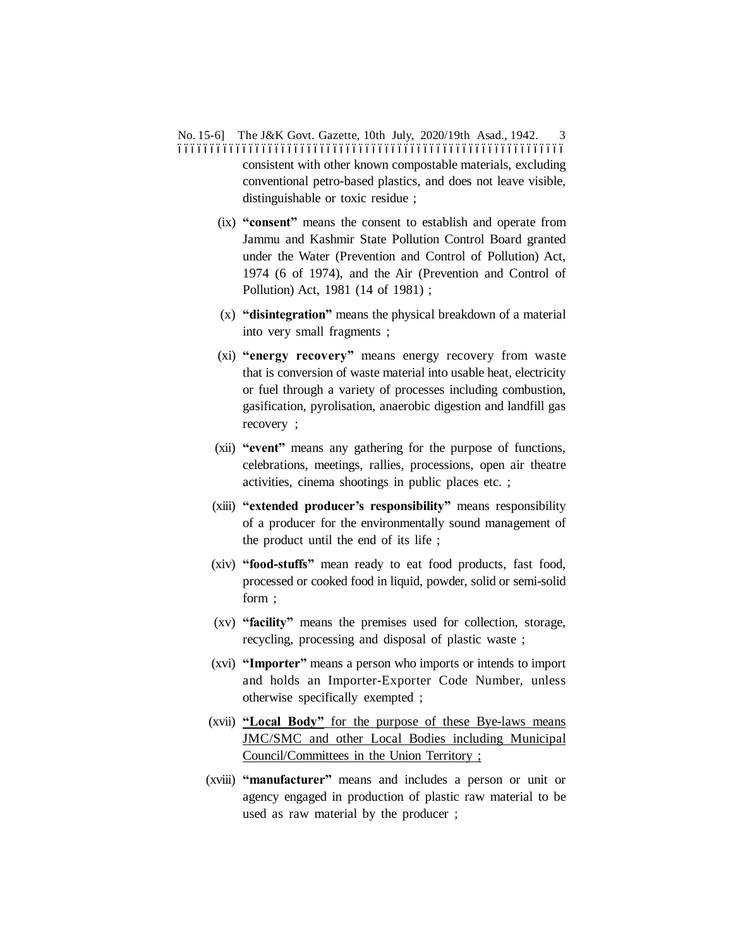No. 15-6] The J&K Govt. Gazette, 10th July, 2020/19th Asad., 1942. 3 –––––––––––––––––––––––––––––––––––––––––––––––––––––––––––– consistent with other known compostable materials, excluding conventional petro-based plastics, and does not leave visible, distinguishable or toxic residue ;

- (ix) **"consent"** means the consent to establish and operate from Jammu and Kashmir State Pollution Control Board granted under the Water (Prevention and Control of Pollution) Act, 1974 (6 of 1974), and the Air (Prevention and Control of Pollution) Act, 1981 (14 of 1981) ;
- (x) **"disintegration"** means the physical breakdown of a material into very small fragments ;
- (xi) **"energy recovery"** means energy recovery from waste that is conversion of waste material into usable heat, electricity or fuel through a variety of processes including combustion, gasification, pyrolisation, anaerobic digestion and landfill gas recovery ;
- (xii) **"event"** means any gathering for the purpose of functions, celebrations, meetings, rallies, processions, open air theatre activities, cinema shootings in public places etc. ;
- (xiii) **"extended producer's responsibility"** means responsibility of a producer for the environmentally sound management of the product until the end of its life ;
- (xiv) **"food-stuffs"** mean ready to eat food products, fast food, processed or cooked food in liquid, powder, solid or semi-solid form ;
- (xv) **"facility"** means the premises used for collection, storage, recycling, processing and disposal of plastic waste ;
- (xvi) **"Importer"** means a person who imports or intends to import and holds an Importer-Exporter Code Number, unless otherwise specifically exempted ;
- (xvii) **"Local Body"** for the purpose of these Bye-laws means JMC/SMC and other Local Bodies including Municipal Council/Committees in the Union Territory ;
- (xviii) **"manufacturer"** means and includes a person or unit or agency engaged in production of plastic raw material to be used as raw material by the producer ;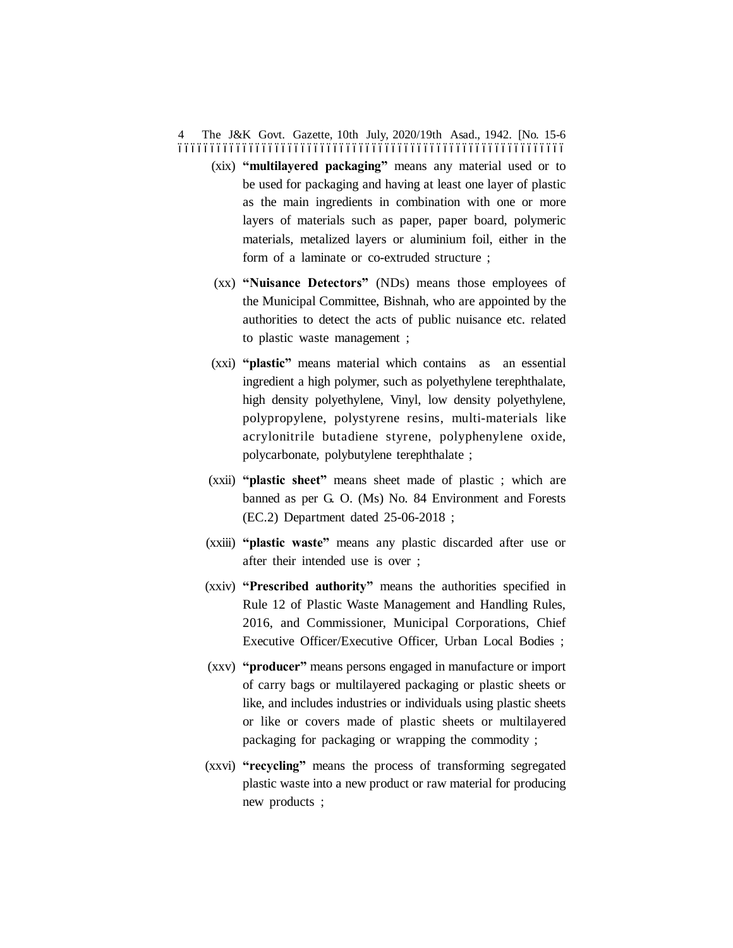#### The J&K Govt. Gazette, 10th July, 2020/19th Asad., 1942. [No. 15-6 –––––––––––––––––––––––––––––––––––––––––––––––––––––––––––– 4

- (xix) **"multilayered packaging"** means any material used or to be used for packaging and having at least one layer of plastic as the main ingredients in combination with one or more layers of materials such as paper, paper board, polymeric materials, metalized layers or aluminium foil, either in the form of a laminate or co-extruded structure ;
- (xx) **"Nuisance Detectors"** (NDs) means those employees of the Municipal Committee, Bishnah, who are appointed by the authorities to detect the acts of public nuisance etc. related to plastic waste management ;
- (xxi) **"plastic"** means material which contains as an essential ingredient a high polymer, such as polyethylene terephthalate, high density polyethylene, Vinyl, low density polyethylene, polypropylene, polystyrene resins, multi-materials like acrylonitrile butadiene styrene, polyphenylene oxide, polycarbonate, polybutylene terephthalate ;
- (xxii) **"plastic sheet"** means sheet made of plastic ; which are banned as per G. O. (Ms) No. 84 Environment and Forests (EC.2) Department dated 25-06-2018 ;
- (xxiii) **"plastic waste"** means any plastic discarded after use or after their intended use is over ;
- (xxiv) **"Prescribed authority"** means the authorities specified in Rule 12 of Plastic Waste Management and Handling Rules, 2016, and Commissioner, Municipal Corporations, Chief Executive Officer/Executive Officer, Urban Local Bodies ;
- (xxv) **"producer"** means persons engaged in manufacture or import of carry bags or multilayered packaging or plastic sheets or like, and includes industries or individuals using plastic sheets or like or covers made of plastic sheets or multilayered packaging for packaging or wrapping the commodity ;
- (xxvi) **"recycling"** means the process of transforming segregated plastic waste into a new product or raw material for producing new products ;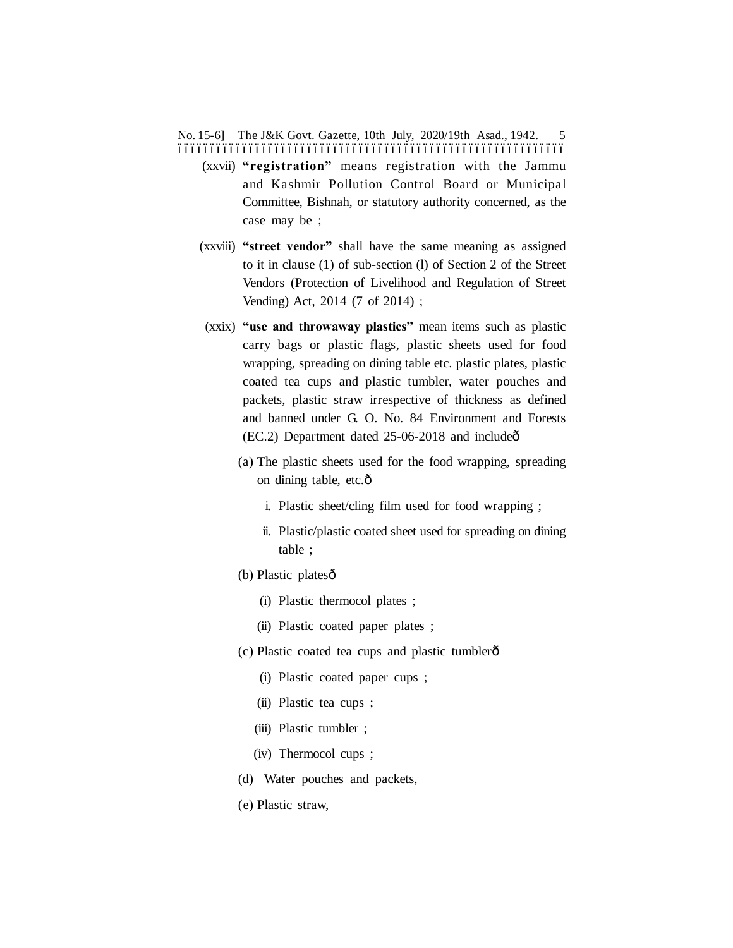No. 15-6] The J&K Govt. Gazette, 10th July, 2020/19th Asad., 1942. 5 ––––––––––––––––––––––––––––––––––––––––––––––––––––––––––––

- (xxvii) **"registration"** means registration with the Jammu and Kashmir Pollution Control Board or Municipal Committee, Bishnah, or statutory authority concerned, as the case may be ;
- (xxviii) **"street vendor"** shall have the same meaning as assigned to it in clause (1) of sub-section (l) of Section 2 of the Street Vendors (Protection of Livelihood and Regulation of Street Vending) Act, 2014 (7 of 2014) ;
- (xxix) **"use and throwaway plastics"** mean items such as plastic carry bags or plastic flags, plastic sheets used for food wrapping, spreading on dining table etc. plastic plates, plastic coated tea cups and plastic tumbler, water pouches and packets, plastic straw irrespective of thickness as defined and banned under G. O. No. 84 Environment and Forests  $(EC.2)$  Department dated 25-06-2018 and include $\hat{o}$ 
	- (a) The plastic sheets used for the food wrapping, spreading on dining table, etc. $\hat{o}$ 
		- i. Plastic sheet/cling film used for food wrapping ;
		- ii. Plastic/plastic coated sheet used for spreading on dining table ;
	- (b) Plastic platesô
		- (i) Plastic thermocol plates ;
		- (ii) Plastic coated paper plates ;
	- (c) Plastic coated tea cups and plastic tumbler—
		- (i) Plastic coated paper cups ;
		- (ii) Plastic tea cups ;
		- (iii) Plastic tumbler ;
		- (iv) Thermocol cups ;
	- (d) Water pouches and packets,
	- (e) Plastic straw,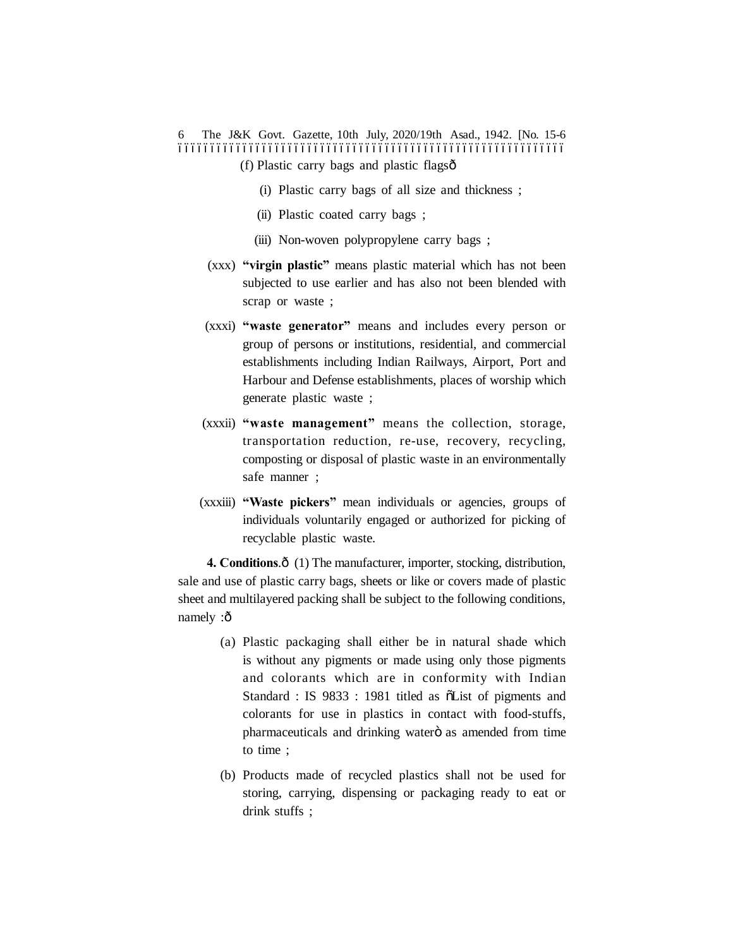The J&K Govt. Gazette, 10th July, 2020/19th Asad., 1942. [No. 15-6 –––––––––––––––––––––––––––––––––––––––––––––––––––––––––––– 6  $(f)$  Plastic carry bags and plastic flags $\hat{\sigma}$ 

- (i) Plastic carry bags of all size and thickness ;
- (ii) Plastic coated carry bags ;
- (iii) Non-woven polypropylene carry bags ;
- (xxx) **"virgin plastic"** means plastic material which has not been subjected to use earlier and has also not been blended with scrap or waste ;
- (xxxi) **"waste generator"** means and includes every person or group of persons or institutions, residential, and commercial establishments including Indian Railways, Airport, Port and Harbour and Defense establishments, places of worship which generate plastic waste ;
- (xxxii) **"waste management"** means the collection, storage, transportation reduction, re-use, recovery, recycling, composting or disposal of plastic waste in an environmentally safe manner ;
- (xxxiii) **"Waste pickers"** mean individuals or agencies, groups of individuals voluntarily engaged or authorized for picking of recyclable plastic waste.

**4. Conditions.** $\hat{\text{o}}$  (1) The manufacturer, importer, stocking, distribution, sale and use of plastic carry bags, sheets or like or covers made of plastic sheet and multilayered packing shall be subject to the following conditions, namely :ô

- (a) Plastic packaging shall either be in natural shade which is without any pigments or made using only those pigments and colorants which are in conformity with Indian Standard : IS 9833 : 1981 titled as  $\tilde{o}$ List of pigments and colorants for use in plastics in contact with food-stuffs, pharmaceuticals and drinking water $\ddot{o}$  as amended from time to time ;
- (b) Products made of recycled plastics shall not be used for storing, carrying, dispensing or packaging ready to eat or drink stuffs ;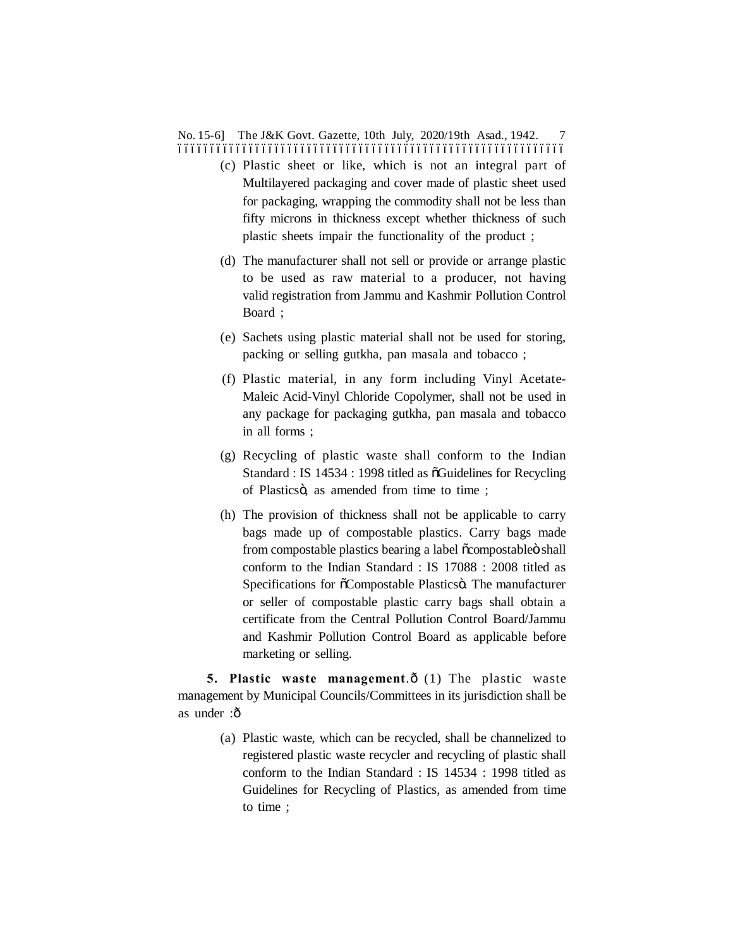No. 15-6] The J&K Govt. Gazette, 10th July, 2020/19th Asad., 1942. 7 ––––––––––––––––––––––––––––––––––––––––––––––––––––––––––––

- (c) Plastic sheet or like, which is not an integral part of Multilayered packaging and cover made of plastic sheet used for packaging, wrapping the commodity shall not be less than fifty microns in thickness except whether thickness of such plastic sheets impair the functionality of the product ;
- (d) The manufacturer shall not sell or provide or arrange plastic to be used as raw material to a producer, not having valid registration from Jammu and Kashmir Pollution Control Board ;
- (e) Sachets using plastic material shall not be used for storing, packing or selling gutkha, pan masala and tobacco ;
- (f) Plastic material, in any form including Vinyl Acetate-Maleic Acid-Vinyl Chloride Copolymer, shall not be used in any package for packaging gutkha, pan masala and tobacco in all forms ;
- (g) Recycling of plastic waste shall conform to the Indian Standard : IS 14534 : 1998 titled as õGuidelines for Recycling of Plasticsö, as amended from time to time;
- (h) The provision of thickness shall not be applicable to carry bags made up of compostable plastics. Carry bags made from compostable plastics bearing a label  $\tilde{o}$ compostable $\ddot{o}$  shall conform to the Indian Standard : IS 17088 : 2008 titled as Specifications for  $\tilde{\text{o}}$ Compostable Plastics . The manufacturer or seller of compostable plastic carry bags shall obtain a certificate from the Central Pollution Control Board/Jammu and Kashmir Pollution Control Board as applicable before marketing or selling.

**5. Plastic waste management.** $\hat{o}$  (1) The plastic waste management by Municipal Councils/Committees in its jurisdiction shall be as under :ô

> (a) Plastic waste, which can be recycled, shall be channelized to registered plastic waste recycler and recycling of plastic shall conform to the Indian Standard : IS 14534 : 1998 titled as Guidelines for Recycling of Plastics, as amended from time to time ;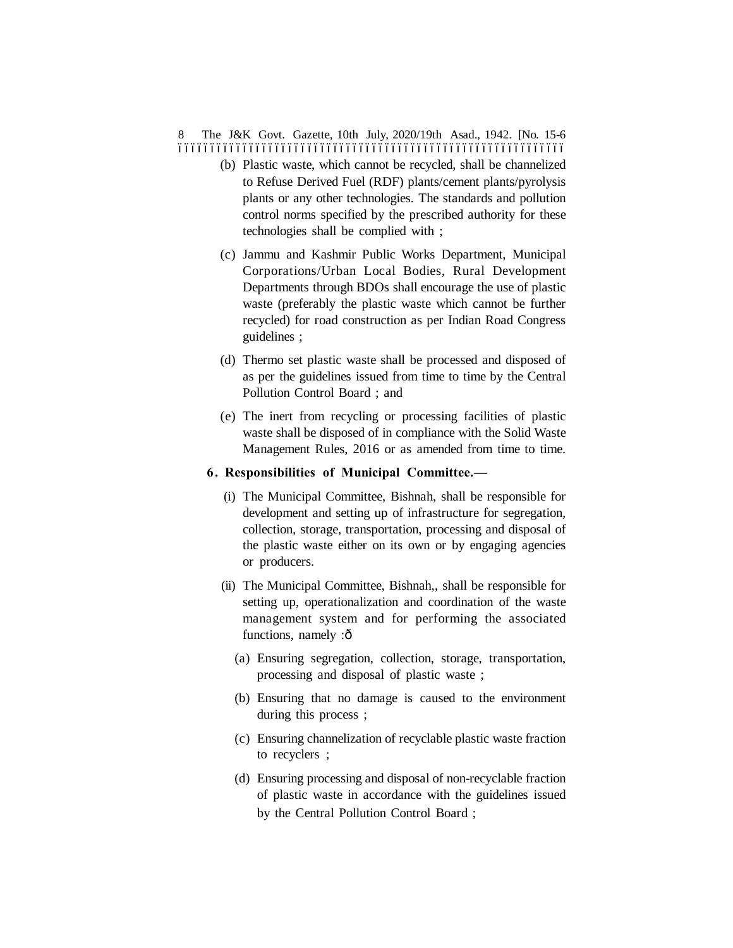The J&K Govt. Gazette, 10th July, 2020/19th Asad., 1942. [No. 15-6 –––––––––––––––––––––––––––––––––––––––––––––––––––––––––––– 8

- (b) Plastic waste, which cannot be recycled, shall be channelized to Refuse Derived Fuel (RDF) plants/cement plants/pyrolysis plants or any other technologies. The standards and pollution control norms specified by the prescribed authority for these technologies shall be complied with ;
- (c) Jammu and Kashmir Public Works Department, Municipal Corporations/Urban Local Bodies, Rural Development Departments through BDOs shall encourage the use of plastic waste (preferably the plastic waste which cannot be further recycled) for road construction as per Indian Road Congress guidelines ;
- (d) Thermo set plastic waste shall be processed and disposed of as per the guidelines issued from time to time by the Central Pollution Control Board ; and
- (e) The inert from recycling or processing facilities of plastic waste shall be disposed of in compliance with the Solid Waste Management Rules, 2016 or as amended from time to time.

#### **6. Responsibilities of Municipal Committee.—**

- (i) The Municipal Committee, Bishnah, shall be responsible for development and setting up of infrastructure for segregation, collection, storage, transportation, processing and disposal of the plastic waste either on its own or by engaging agencies or producers.
- (ii) The Municipal Committee, Bishnah,, shall be responsible for setting up, operationalization and coordination of the waste management system and for performing the associated functions, namely :ô
	- (a) Ensuring segregation, collection, storage, transportation, processing and disposal of plastic waste ;
	- (b) Ensuring that no damage is caused to the environment during this process ;
	- (c) Ensuring channelization of recyclable plastic waste fraction to recyclers ;
	- (d) Ensuring processing and disposal of non-recyclable fraction of plastic waste in accordance with the guidelines issued by the Central Pollution Control Board ;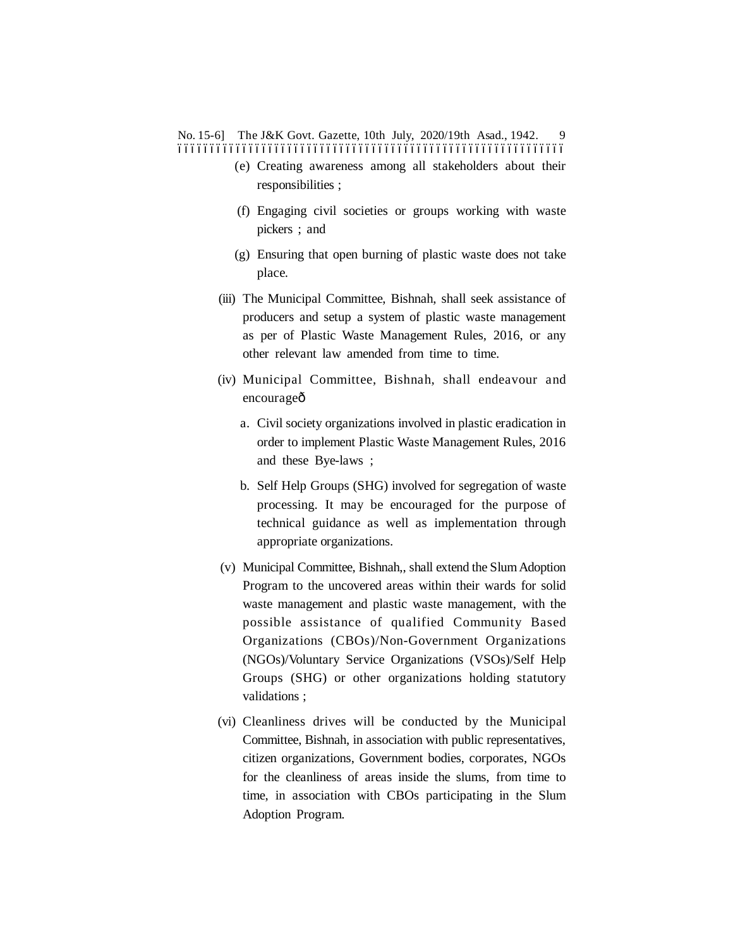No. 15-6] The J&K Govt. Gazette, 10th July, 2020/19th Asad., 1942. 9 ––––––––––––––––––––––––––––––––––––––––––––––––––––––––––––

- (e) Creating awareness among all stakeholders about their responsibilities ;
- (f) Engaging civil societies or groups working with waste pickers ; and
- (g) Ensuring that open burning of plastic waste does not take place.
- (iii) The Municipal Committee, Bishnah, shall seek assistance of producers and setup a system of plastic waste management as per of Plastic Waste Management Rules, 2016, or any other relevant law amended from time to time.
- (iv) Municipal Committee, Bishnah, shall endeavour and encourageô
	- a. Civil society organizations involved in plastic eradication in order to implement Plastic Waste Management Rules, 2016 and these Bye-laws ;
	- b. Self Help Groups (SHG) involved for segregation of waste processing. It may be encouraged for the purpose of technical guidance as well as implementation through appropriate organizations.
- (v) Municipal Committee, Bishnah,, shall extend the Slum Adoption Program to the uncovered areas within their wards for solid waste management and plastic waste management, with the possible assistance of qualified Community Based Organizations (CBOs)/Non-Government Organizations (NGOs)/Voluntary Service Organizations (VSOs)/Self Help Groups (SHG) or other organizations holding statutory validations ;
- (vi) Cleanliness drives will be conducted by the Municipal Committee, Bishnah, in association with public representatives, citizen organizations, Government bodies, corporates, NGOs for the cleanliness of areas inside the slums, from time to time, in association with CBOs participating in the Slum Adoption Program.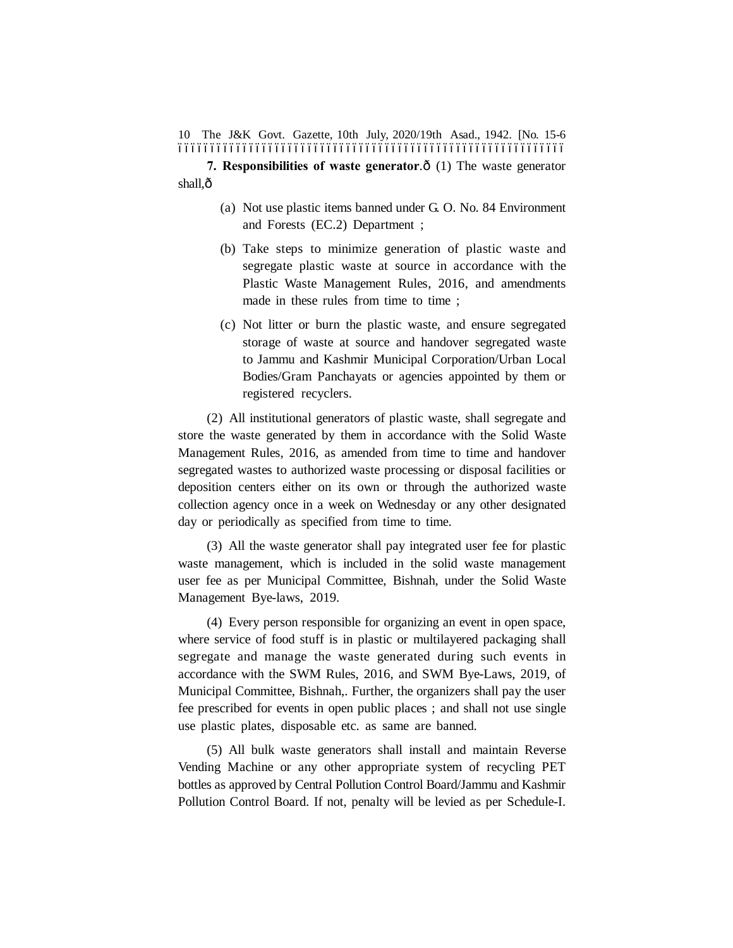The J&K Govt. Gazette, 10th July, 2020/19th Asad., 1942. [No. 15-6 10 ––––––––––––––––––––––––––––––––––––––––––––––––––––––––––––

**7. Responsibilities of waste generator.** $\hat{\text{o}}$  (1) The waste generator shall.ô

- (a) Not use plastic items banned under G. O. No. 84 Environment and Forests (EC.2) Department ;
- (b) Take steps to minimize generation of plastic waste and segregate plastic waste at source in accordance with the Plastic Waste Management Rules, 2016, and amendments made in these rules from time to time ;
- (c) Not litter or burn the plastic waste, and ensure segregated storage of waste at source and handover segregated waste to Jammu and Kashmir Municipal Corporation/Urban Local Bodies/Gram Panchayats or agencies appointed by them or registered recyclers.

(2) All institutional generators of plastic waste, shall segregate and store the waste generated by them in accordance with the Solid Waste Management Rules, 2016, as amended from time to time and handover segregated wastes to authorized waste processing or disposal facilities or deposition centers either on its own or through the authorized waste collection agency once in a week on Wednesday or any other designated day or periodically as specified from time to time.

(3) All the waste generator shall pay integrated user fee for plastic waste management, which is included in the solid waste management user fee as per Municipal Committee, Bishnah, under the Solid Waste Management Bye-laws, 2019.

(4) Every person responsible for organizing an event in open space, where service of food stuff is in plastic or multilayered packaging shall segregate and manage the waste generated during such events in accordance with the SWM Rules, 2016, and SWM Bye-Laws, 2019, of Municipal Committee, Bishnah,. Further, the organizers shall pay the user fee prescribed for events in open public places ; and shall not use single use plastic plates, disposable etc. as same are banned.

(5) All bulk waste generators shall install and maintain Reverse Vending Machine or any other appropriate system of recycling PET bottles as approved by Central Pollution Control Board/Jammu and Kashmir Pollution Control Board. If not, penalty will be levied as per Schedule-I.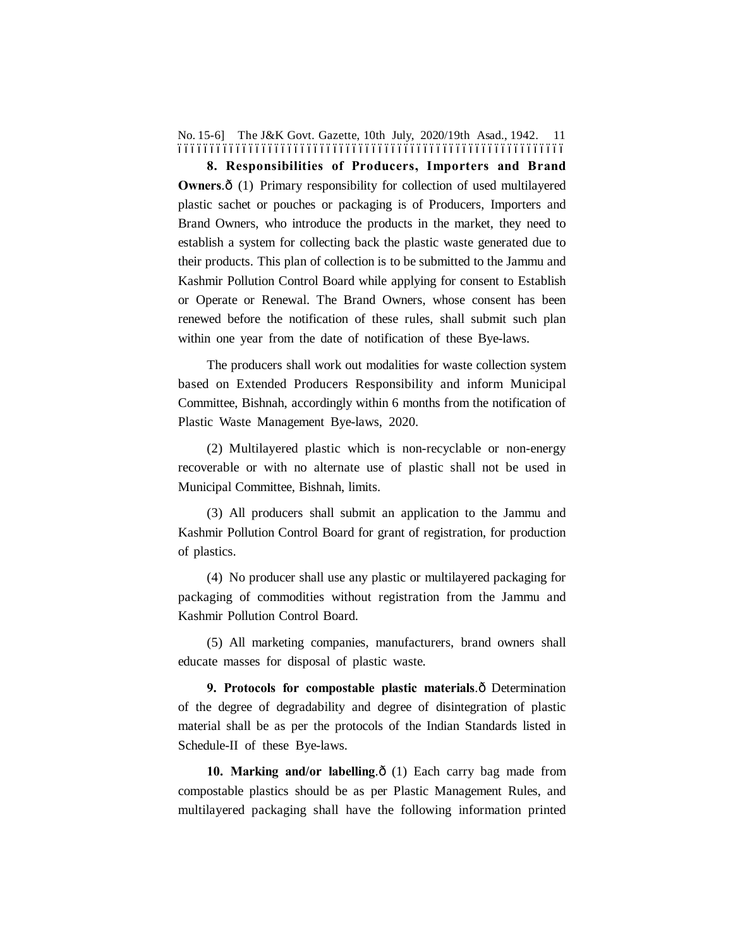No. 15-6] The J&K Govt. Gazette, 10th July, 2020/19th Asad., 1942. 11 ––––––––––––––––––––––––––––––––––––––––––––––––––––––––––––

**8. Responsibilities of Producers, Importers and Brand Owners.**  $\hat{\sigma}$  (1) Primary responsibility for collection of used multilayered plastic sachet or pouches or packaging is of Producers, Importers and Brand Owners, who introduce the products in the market, they need to establish a system for collecting back the plastic waste generated due to their products. This plan of collection is to be submitted to the Jammu and Kashmir Pollution Control Board while applying for consent to Establish or Operate or Renewal. The Brand Owners, whose consent has been renewed before the notification of these rules, shall submit such plan within one year from the date of notification of these Bye-laws.

The producers shall work out modalities for waste collection system based on Extended Producers Responsibility and inform Municipal Committee, Bishnah, accordingly within 6 months from the notification of Plastic Waste Management Bye-laws, 2020.

(2) Multilayered plastic which is non-recyclable or non-energy recoverable or with no alternate use of plastic shall not be used in Municipal Committee, Bishnah, limits.

(3) All producers shall submit an application to the Jammu and Kashmir Pollution Control Board for grant of registration, for production of plastics.

(4) No producer shall use any plastic or multilayered packaging for packaging of commodities without registration from the Jammu and Kashmir Pollution Control Board.

(5) All marketing companies, manufacturers, brand owners shall educate masses for disposal of plastic waste.

**9. Protocols for compostable plastic materials.** $\hat{o}$  Determination of the degree of degradability and degree of disintegration of plastic material shall be as per the protocols of the Indian Standards listed in Schedule-II of these Bye-laws.

**10. Marking and/or labelling.** $\delta$  (1) Each carry bag made from compostable plastics should be as per Plastic Management Rules, and multilayered packaging shall have the following information printed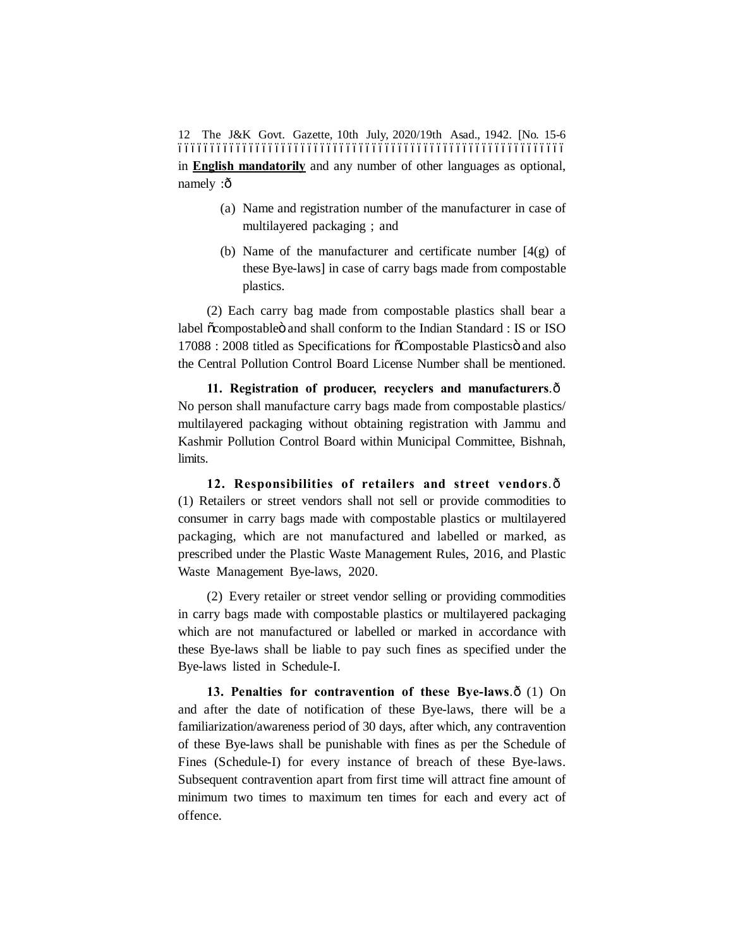The J&K Govt. Gazette, 10th July, 2020/19th Asad., 1942. [No. 15-6 12 –––––––––––––––––––––––––––––––––––––––––––––––––––––––––––– in **English mandatorily** and any number of other languages as optional, namely :ô

- (a) Name and registration number of the manufacturer in case of multilayered packaging ; and
- (b) Name of the manufacturer and certificate number  $[4(g)$  of these Bye-laws] in case of carry bags made from compostable plastics.

(2) Each carry bag made from compostable plastics shall bear a label õcompostableö and shall conform to the Indian Standard : IS or ISO 17088 : 2008 titled as Specifications for  $\tilde{o}$ Compostable Plastics and also the Central Pollution Control Board License Number shall be mentioned.

11. Registration of producer, recyclers and manufacturers. $\hat{o}$ No person shall manufacture carry bags made from compostable plastics/ multilayered packaging without obtaining registration with Jammu and Kashmir Pollution Control Board within Municipal Committee, Bishnah, limits.

**12. Responsibilities of retailers and street vendors.** $\hat{o}$ (1) Retailers or street vendors shall not sell or provide commodities to consumer in carry bags made with compostable plastics or multilayered packaging, which are not manufactured and labelled or marked, as prescribed under the Plastic Waste Management Rules, 2016, and Plastic Waste Management Bye-laws, 2020.

(2) Every retailer or street vendor selling or providing commodities in carry bags made with compostable plastics or multilayered packaging which are not manufactured or labelled or marked in accordance with these Bye-laws shall be liable to pay such fines as specified under the Bye-laws listed in Schedule-I.

13. Penalties for contravention of these Bye-laws. $\hat{o}$  (1) On and after the date of notification of these Bye-laws, there will be a familiarization/awareness period of 30 days, after which, any contravention of these Bye-laws shall be punishable with fines as per the Schedule of Fines (Schedule-I) for every instance of breach of these Bye-laws. Subsequent contravention apart from first time will attract fine amount of minimum two times to maximum ten times for each and every act of offence.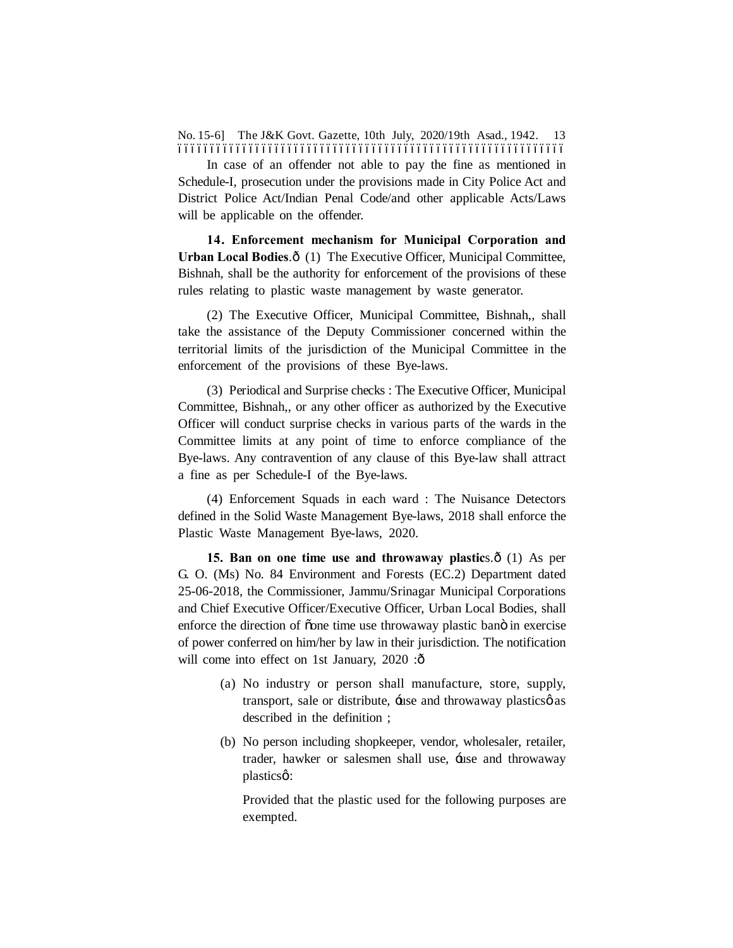No. 15-6] The J&K Govt. Gazette, 10th July, 2020/19th Asad., 1942. 13 ––––––––––––––––––––––––––––––––––––––––––––––––––––––––––––

In case of an offender not able to pay the fine as mentioned in Schedule-I, prosecution under the provisions made in City Police Act and District Police Act/Indian Penal Code/and other applicable Acts/Laws will be applicable on the offender.

**14. Enforcement mechanism for Municipal Corporation and** Urban Local Bodies. $\hat{o}$  (1) The Executive Officer, Municipal Committee, Bishnah, shall be the authority for enforcement of the provisions of these rules relating to plastic waste management by waste generator.

(2) The Executive Officer, Municipal Committee, Bishnah,, shall take the assistance of the Deputy Commissioner concerned within the territorial limits of the jurisdiction of the Municipal Committee in the enforcement of the provisions of these Bye-laws.

(3) Periodical and Surprise checks : The Executive Officer, Municipal Committee, Bishnah,, or any other officer as authorized by the Executive Officer will conduct surprise checks in various parts of the wards in the Committee limits at any point of time to enforce compliance of the Bye-laws. Any contravention of any clause of this Bye-law shall attract a fine as per Schedule-I of the Bye-laws.

(4) Enforcement Squads in each ward : The Nuisance Detectors defined in the Solid Waste Management Bye-laws, 2018 shall enforce the Plastic Waste Management Bye-laws, 2020.

**15. Ban on one time use and throwaway plastics.**  $\hat{\text{o}}$  (1) As per G. O. (Ms) No. 84 Environment and Forests (EC.2) Department dated 25-06-2018, the Commissioner, Jammu/Srinagar Municipal Corporations and Chief Executive Officer/Executive Officer, Urban Local Bodies, shall enforce the direction of õone time use throwaway plastic banö in exercise of power conferred on him/her by law in their jurisdiction. The notification will come into effect on 1st January,  $2020$ : $\hat{\text{o}}$ 

- (a) No industry or person shall manufacture, store, supply, transport, sale or distribute, the and throwaway plastics as described in the definition ;
- (b) No person including shopkeeper, vendor, wholesaler, retailer, trader, hawker or salesmen shall use, tuse and throwaway plasticsø:

Provided that the plastic used for the following purposes are exempted.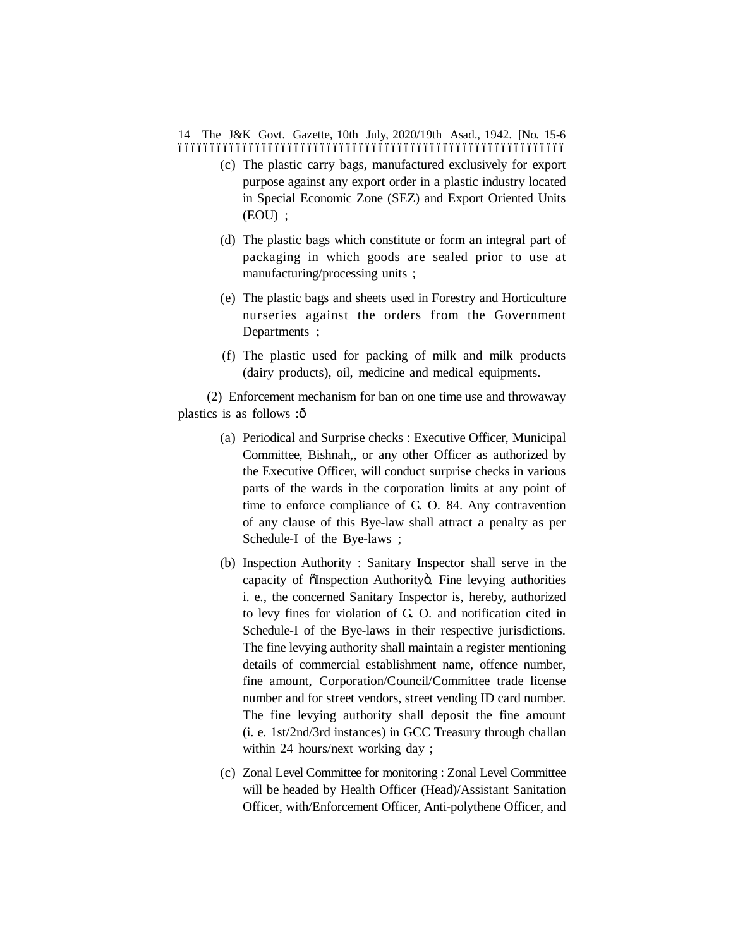14 The J&K Govt. Gazette, 10th July, 2020/19th Asad., 1942. [No. 15-6 ––––––––––––––––––––––––––––––––––––––––––––––––––––––––––––

- (c) The plastic carry bags, manufactured exclusively for export purpose against any export order in a plastic industry located in Special Economic Zone (SEZ) and Export Oriented Units (EOU) ;
- (d) The plastic bags which constitute or form an integral part of packaging in which goods are sealed prior to use at manufacturing/processing units ;
- (e) The plastic bags and sheets used in Forestry and Horticulture nurseries against the orders from the Government Departments ;
- (f) The plastic used for packing of milk and milk products (dairy products), oil, medicine and medical equipments.

(2) Enforcement mechanism for ban on one time use and throwaway plastics is as follows :ô

- (a) Periodical and Surprise checks : Executive Officer, Municipal Committee, Bishnah,, or any other Officer as authorized by the Executive Officer, will conduct surprise checks in various parts of the wards in the corporation limits at any point of time to enforce compliance of G. O. 84. Any contravention of any clause of this Bye-law shall attract a penalty as per Schedule-I of the Bye-laws ;
- (b) Inspection Authority : Sanitary Inspector shall serve in the capacity of  $\tilde{\text{O}}$ Inspection Authority . Fine levying authorities i. e., the concerned Sanitary Inspector is, hereby, authorized to levy fines for violation of G. O. and notification cited in Schedule-I of the Bye-laws in their respective jurisdictions. The fine levying authority shall maintain a register mentioning details of commercial establishment name, offence number, fine amount, Corporation/Council/Committee trade license number and for street vendors, street vending ID card number. The fine levying authority shall deposit the fine amount (i. e. 1st/2nd/3rd instances) in GCC Treasury through challan within 24 hours/next working day ;
- (c) Zonal Level Committee for monitoring : Zonal Level Committee will be headed by Health Officer (Head)/Assistant Sanitation Officer, with/Enforcement Officer, Anti-polythene Officer, and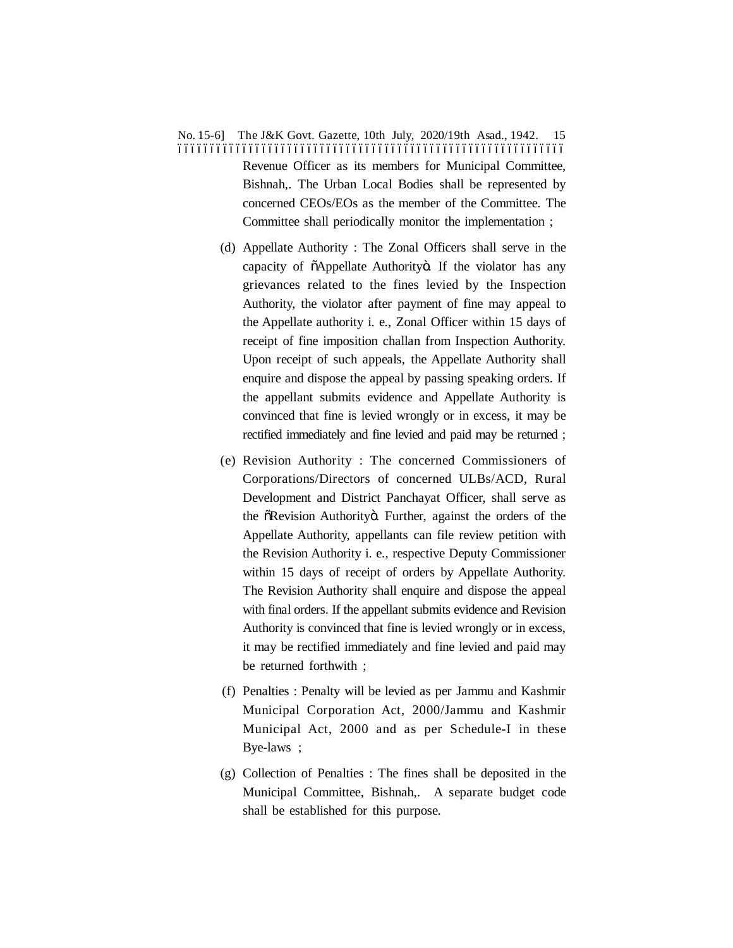# No. 15-6] The J&K Govt. Gazette, 10th July, 2020/19th Asad., 1942. 15 –––––––––––––––––––––––––––––––––––––––––––––––––––––––––––– Revenue Officer as its members for Municipal Committee, Bishnah,. The Urban Local Bodies shall be represented by concerned CEOs/EOs as the member of the Committee. The Committee shall periodically monitor the implementation ;

- (d) Appellate Authority : The Zonal Officers shall serve in the capacity of  $\tilde{o}$ Appellate Authority $\tilde{o}$ . If the violator has any grievances related to the fines levied by the Inspection Authority, the violator after payment of fine may appeal to the Appellate authority i. e., Zonal Officer within 15 days of receipt of fine imposition challan from Inspection Authority. Upon receipt of such appeals, the Appellate Authority shall enquire and dispose the appeal by passing speaking orders. If the appellant submits evidence and Appellate Authority is convinced that fine is levied wrongly or in excess, it may be rectified immediately and fine levied and paid may be returned ;
- (e) Revision Authority : The concerned Commissioners of Corporations/Directors of concerned ULBs/ACD, Rural Development and District Panchayat Officer, shall serve as the  $\tilde{o}$ Revision Authority $\tilde{o}$ . Further, against the orders of the Appellate Authority, appellants can file review petition with the Revision Authority i. e., respective Deputy Commissioner within 15 days of receipt of orders by Appellate Authority. The Revision Authority shall enquire and dispose the appeal with final orders. If the appellant submits evidence and Revision Authority is convinced that fine is levied wrongly or in excess, it may be rectified immediately and fine levied and paid may be returned forthwith ;
- (f) Penalties : Penalty will be levied as per Jammu and Kashmir Municipal Corporation Act, 2000/Jammu and Kashmir Municipal Act, 2000 and as per Schedule-I in these Bye-laws ;
- (g) Collection of Penalties : The fines shall be deposited in the Municipal Committee, Bishnah,. A separate budget code shall be established for this purpose.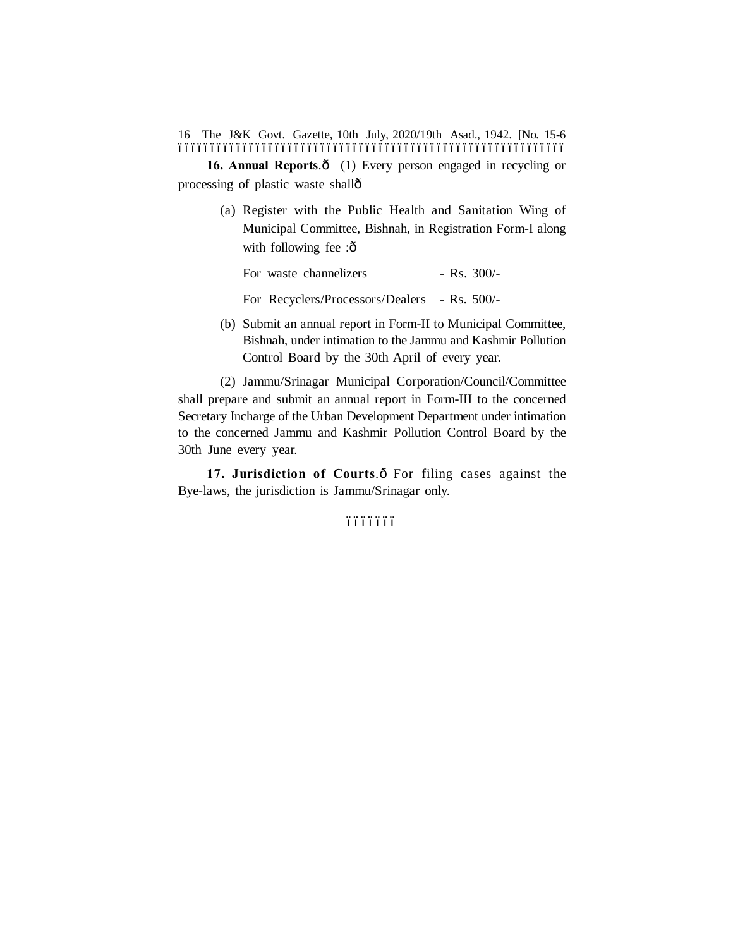The J&K Govt. Gazette, 10th July, 2020/19th Asad., 1942. [No. 15-6 16 ––––––––––––––––––––––––––––––––––––––––––––––––––––––––––––

16. Annual Reports. $\delta$  (1) Every person engaged in recycling or processing of plastic waste shall—

> (a) Register with the Public Health and Sanitation Wing of Municipal Committee, Bishnah, in Registration Form-I along with following fee :ô

For waste channelizers - Rs. 300/-

- For Recyclers/Processors/Dealers Rs. 500/-
- (b) Submit an annual report in Form-II to Municipal Committee, Bishnah, under intimation to the Jammu and Kashmir Pollution Control Board by the 30th April of every year.

(2) Jammu/Srinagar Municipal Corporation/Council/Committee shall prepare and submit an annual report in Form-III to the concerned Secretary Incharge of the Urban Development Department under intimation to the concerned Jammu and Kashmir Pollution Control Board by the 30th June every year.

17. **Jurisdiction of Courts**. $\hat{o}$  For filing cases against the Bye-laws, the jurisdiction is Jammu/Srinagar only.

–––––––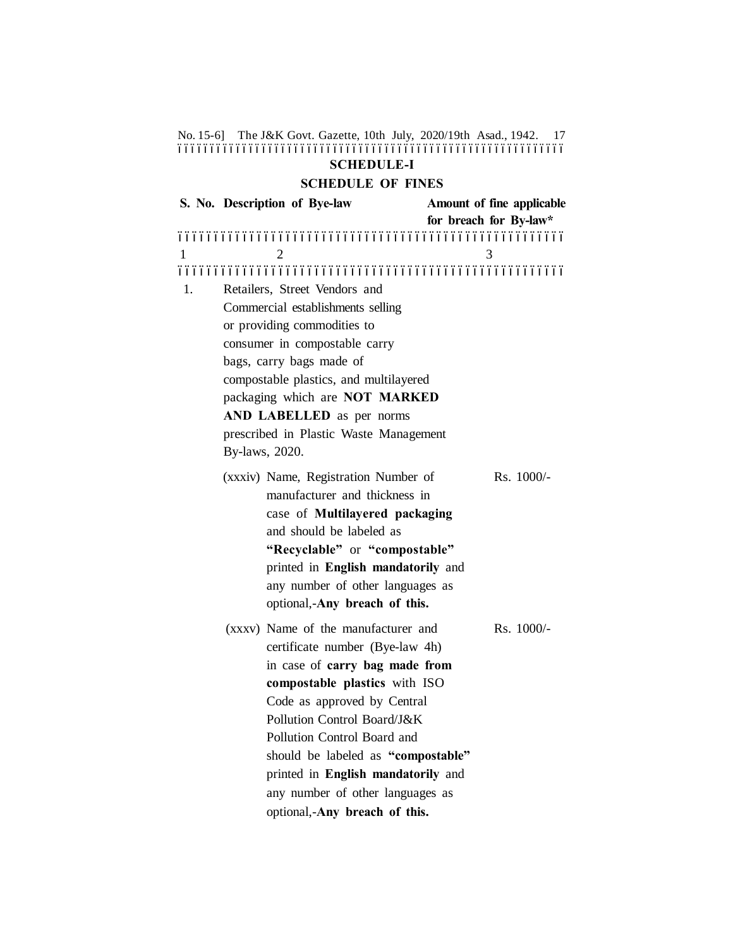No. 15-6] The J&K Govt. Gazette, 10th July, 2020/19th Asad., 1942. 17 –––––––––––––––––––––––––––––––––––––––––––––––––––––––––––– **SCHEDULE-I**

#### **SCHEDULE OF FINES**

**S. No. Description of Bye-law Amount of fine applicable for breach for By-law\*** ––––––––––––––––––––––––––––––––––––––––––––––––––––––  $1 \hspace{1.5cm} 2 \hspace{1.5cm} 3$ –––––––––––––––––––––––––––––––––––––––––––––––––––––– 1. Retailers, Street Vendors and Commercial establishments selling or providing commodities to consumer in compostable carry bags, carry bags made of compostable plastics, and multilayered packaging which are **NOT MARKED AND LABELLED** as per norms prescribed in Plastic Waste Management By-laws, 2020. (xxxiv) Name, Registration Number of Rs. 1000/manufacturer and thickness in case of **Multilayered packaging** and should be labeled as **"Recyclable"** or **"compostable"** printed in **English mandatorily** and any number of other languages as optional,-**Any breach of this.**  $(xxxv)$  Name of the manufacturer and Rs. 1000/certificate number (Bye-law 4h) in case of **carry bag made from compostable plastics** with ISO Code as approved by Central Pollution Control Board/J&K Pollution Control Board and should be labeled as **"compostable"** printed in **English mandatorily** and any number of other languages as optional,-**Any breach of this.**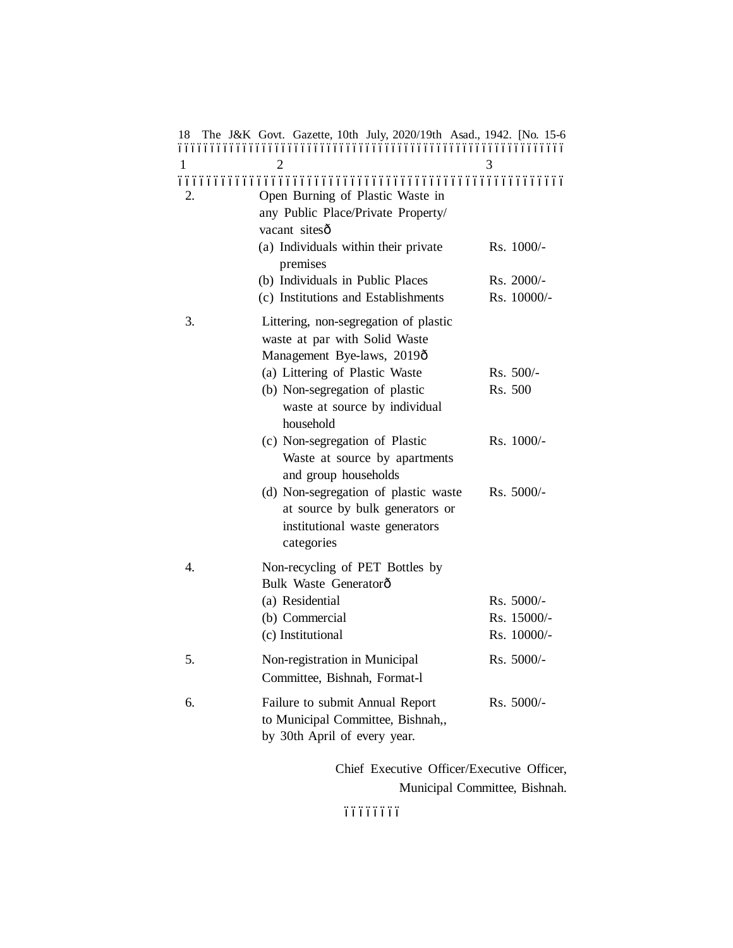| 18 | The J&K Govt. Gazette, 10th July, 2020/19th Asad., 1942. [No. 15-6                                                                                                                                                     |                                          |
|----|------------------------------------------------------------------------------------------------------------------------------------------------------------------------------------------------------------------------|------------------------------------------|
| 1  |                                                                                                                                                                                                                        |                                          |
| 2. | Open Burning of Plastic Waste in<br>any Public Place/Private Property/<br>vacant sitesô                                                                                                                                |                                          |
|    | (a) Individuals within their private<br>premises                                                                                                                                                                       | Rs. 1000/-                               |
|    | (b) Individuals in Public Places                                                                                                                                                                                       | Rs. 2000/-                               |
|    | (c) Institutions and Establishments                                                                                                                                                                                    | Rs. 10000/-                              |
| 3. | Littering, non-segregation of plastic<br>waste at par with Solid Waste<br>Management Bye-laws, 2019ô<br>(a) Littering of Plastic Waste<br>(b) Non-segregation of plastic<br>waste at source by individual<br>household | Rs. 500/-<br>Rs. 500                     |
|    | (c) Non-segregation of Plastic<br>Waste at source by apartments<br>and group households<br>(d) Non-segregation of plastic waste<br>at source by bulk generators or<br>institutional waste generators<br>categories     | Rs. 1000/-<br>Rs. 5000/-                 |
| 4. | Non-recycling of PET Bottles by<br>Bulk Waste Generatorô<br>(a) Residential<br>(b) Commercial<br>(c) Institutional                                                                                                     | Rs. 5000/-<br>Rs. 15000/-<br>Rs. 10000/- |
| 5. | Non-registration in Municipal<br>Committee, Bishnah, Format-1                                                                                                                                                          | Rs. 5000/-                               |
| 6. | Failure to submit Annual Report<br>to Municipal Committee, Bishnah,,<br>by 30th April of every year.                                                                                                                   | Rs. 5000/-                               |
|    | Chief Executive Officer/Executive Officer,                                                                                                                                                                             |                                          |

Municipal Committee, Bishnah.

 $66666666$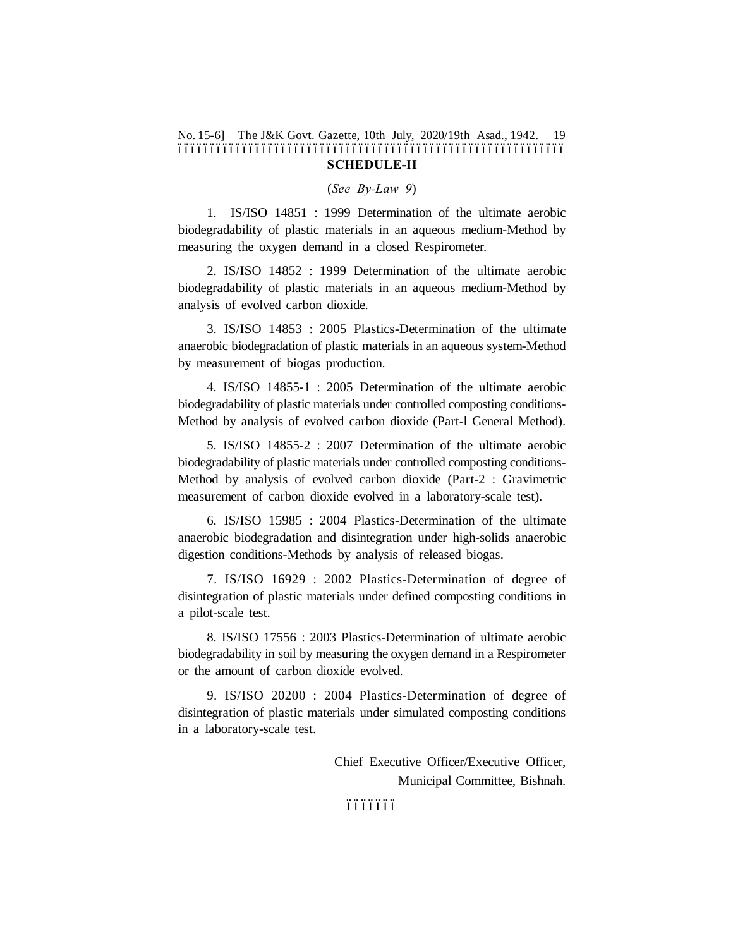No. 15-6] The J&K Govt. Gazette, 10th July, 2020/19th Asad., 1942. 19 –––––––––––––––––––––––––––––––––––––––––––––––––––––––––––– **SCHEDULE-II**

(*See By-Law 9*)

1. IS/ISO 14851 : 1999 Determination of the ultimate aerobic biodegradability of plastic materials in an aqueous medium-Method by measuring the oxygen demand in a closed Respirometer.

2. IS/ISO 14852 : 1999 Determination of the ultimate aerobic biodegradability of plastic materials in an aqueous medium-Method by analysis of evolved carbon dioxide.

3. IS/ISO 14853 : 2005 Plastics-Determination of the ultimate anaerobic biodegradation of plastic materials in an aqueous system-Method by measurement of biogas production.

4. IS/ISO 14855-1 : 2005 Determination of the ultimate aerobic biodegradability of plastic materials under controlled composting conditions-Method by analysis of evolved carbon dioxide (Part-l General Method).

5. IS/ISO 14855-2 : 2007 Determination of the ultimate aerobic biodegradability of plastic materials under controlled composting conditions-Method by analysis of evolved carbon dioxide (Part-2 : Gravimetric measurement of carbon dioxide evolved in a laboratory-scale test).

6. IS/ISO 15985 : 2004 Plastics-Determination of the ultimate anaerobic biodegradation and disintegration under high-solids anaerobic digestion conditions-Methods by analysis of released biogas.

7. IS/ISO 16929 : 2002 Plastics-Determination of degree of disintegration of plastic materials under defined composting conditions in a pilot-scale test.

8. IS/ISO 17556 : 2003 Plastics-Determination of ultimate aerobic biodegradability in soil by measuring the oxygen demand in a Respirometer or the amount of carbon dioxide evolved.

9. IS/ISO 20200 : 2004 Plastics-Determination of degree of disintegration of plastic materials under simulated composting conditions in a laboratory-scale test.

> Chief Executive Officer/Executive Officer, Municipal Committee, Bishnah.

 $6666666$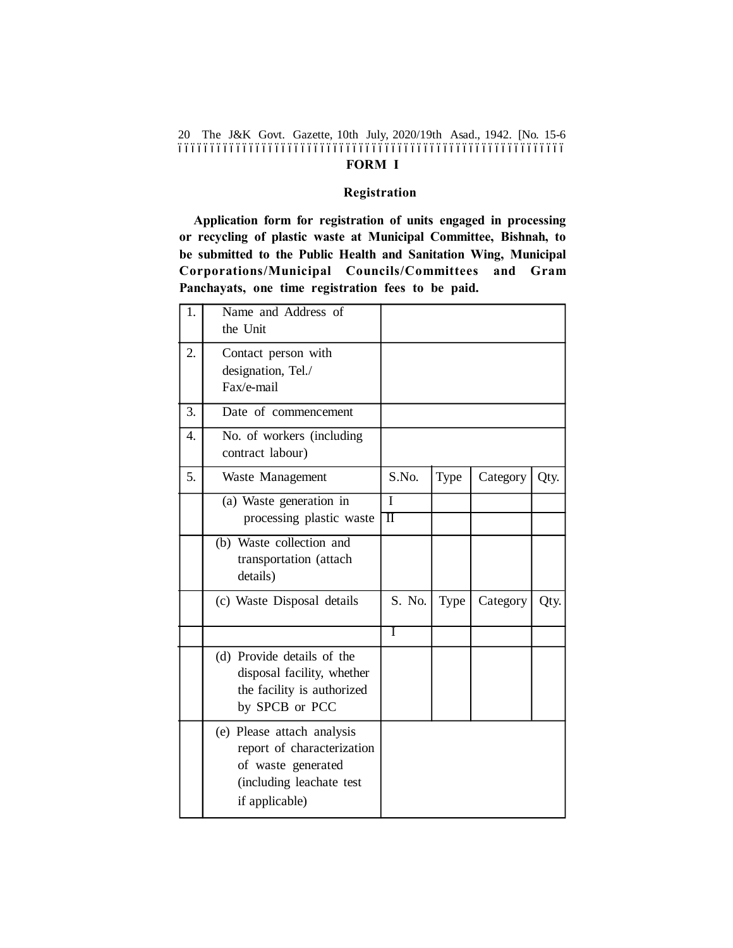The J&K Govt. Gazette, 10th July, 2020/19th Asad., 1942. [No. 15-6 20 –––––––––––––––––––––––––––––––––––––––––––––––––––––––––––– **FORM I**

#### **Registration**

**Application form for registration of units engaged in processing or recycling of plastic waste at Municipal Committee, Bishnah, to be submitted to the Public Health and Sanitation Wing, Municipal Corporations/Municipal Councils/Committees and Gram Panchayats, one time registration fees to be paid.**

| 1. | Name and Address of<br>the Unit                                                                                              |                          |      |          |      |
|----|------------------------------------------------------------------------------------------------------------------------------|--------------------------|------|----------|------|
| 2. | Contact person with<br>designation, Tel./<br>Fax/e-mail                                                                      |                          |      |          |      |
| 3. | Date of commencement                                                                                                         |                          |      |          |      |
| 4. | No. of workers (including<br>contract labour)                                                                                |                          |      |          |      |
| 5. | Waste Management                                                                                                             | S.No.                    | Type | Category | Qty. |
|    | (a) Waste generation in<br>processing plastic waste                                                                          | T<br>$\overline{\rm II}$ |      |          |      |
|    | (b) Waste collection and<br>transportation (attach<br>details)                                                               |                          |      |          |      |
|    | (c) Waste Disposal details                                                                                                   | S. No.                   | Type | Category | Qty. |
|    |                                                                                                                              | I                        |      |          |      |
|    | (d) Provide details of the<br>disposal facility, whether<br>the facility is authorized<br>by SPCB or PCC                     |                          |      |          |      |
|    | (e) Please attach analysis<br>report of characterization<br>of waste generated<br>(including leachate test<br>if applicable) |                          |      |          |      |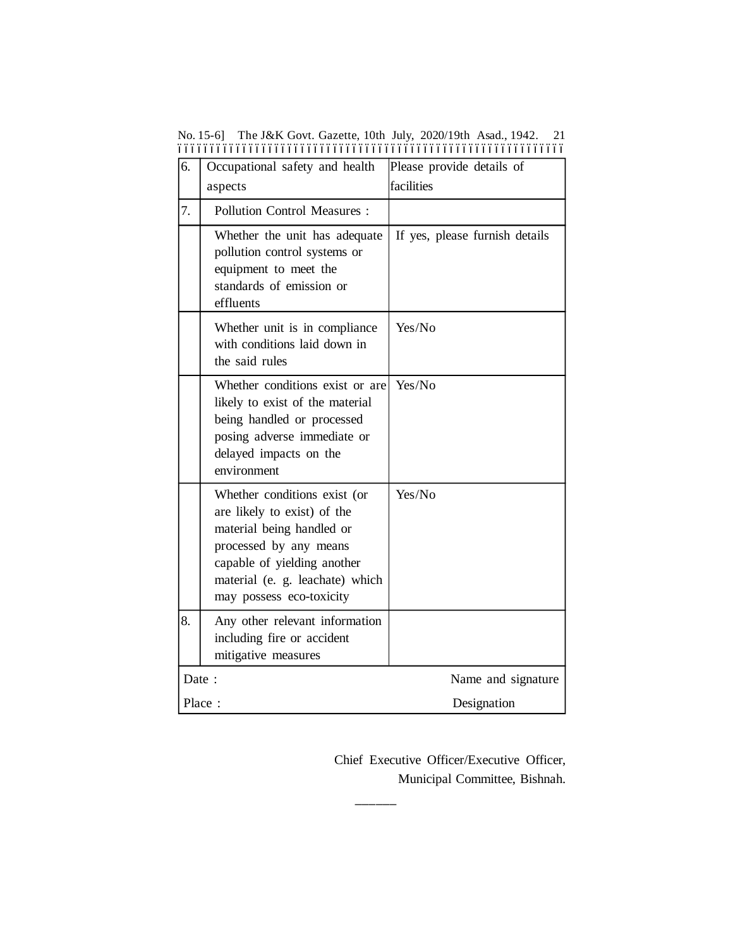| 6.                          | Occupational safety and health                                                                                                                                                                                   | Please provide details of      |  |
|-----------------------------|------------------------------------------------------------------------------------------------------------------------------------------------------------------------------------------------------------------|--------------------------------|--|
|                             | aspects                                                                                                                                                                                                          | facilities                     |  |
| 7.                          | <b>Pollution Control Measures:</b>                                                                                                                                                                               |                                |  |
|                             | Whether the unit has adequate<br>pollution control systems or<br>equipment to meet the<br>standards of emission or<br>effluents                                                                                  | If yes, please furnish details |  |
|                             | Whether unit is in compliance<br>with conditions laid down in<br>the said rules                                                                                                                                  | Yes/No                         |  |
|                             | Whether conditions exist or are<br>likely to exist of the material<br>being handled or processed<br>posing adverse immediate or<br>delayed impacts on the<br>environment                                         | Yes/No                         |  |
|                             | Whether conditions exist (or<br>are likely to exist) of the<br>material being handled or<br>processed by any means<br>capable of yielding another<br>material (e. g. leachate) which<br>may possess eco-toxicity | Yes/No                         |  |
| 8.                          | Any other relevant information<br>including fire or accident<br>mitigative measures                                                                                                                              |                                |  |
| Date:<br>Name and signature |                                                                                                                                                                                                                  |                                |  |
| Place:                      |                                                                                                                                                                                                                  | Designation                    |  |

**––––––**

No. 15-6] The J&K Govt. Gazette, 10th July, 2020/19th Asad., 1942. 21 ––––––––––––––––––––––––––––––––––––––––––––––––––––––––––––

Chief Executive Officer/Executive Officer, Municipal Committee, Bishnah.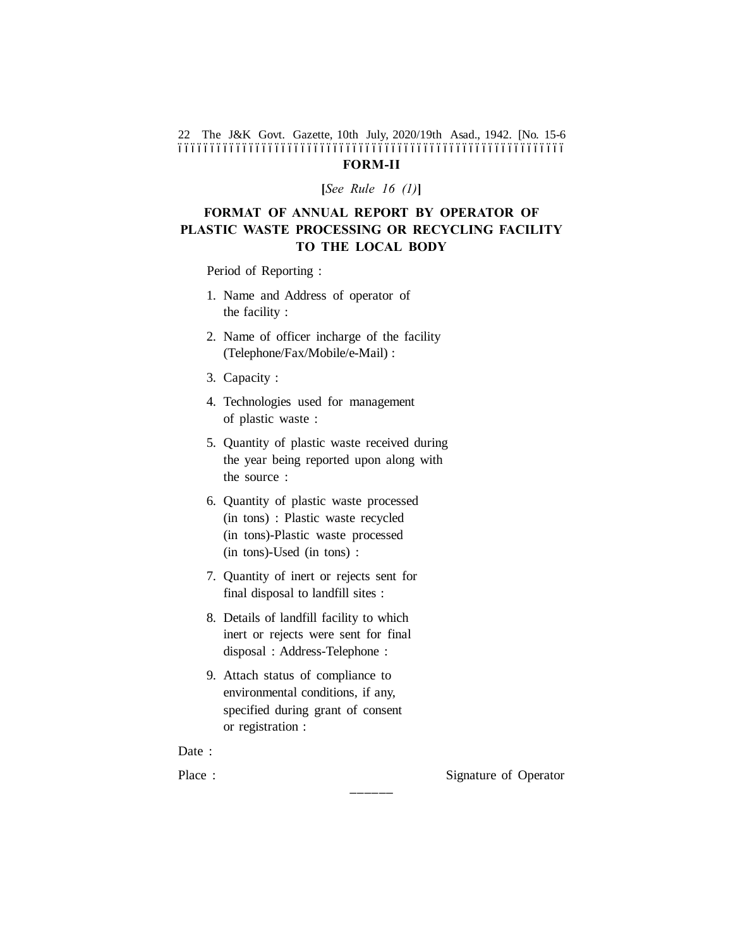#### The J&K Govt. Gazette, 10th July, 2020/19th Asad., 1942. [No. 15-6 22 –––––––––––––––––––––––––––––––––––––––––––––––––––––––––––– **FORM-II**

**[***See Rule 16 (1)***]**

# **FORMAT OF ANNUAL REPORT BY OPERATOR OF PLASTIC WASTE PROCESSING OR RECYCLING FACILITY TO THE LOCAL BODY**

Period of Reporting :

- 1. Name and Address of operator of the facility :
- 2. Name of officer incharge of the facility (Telephone/Fax/Mobile/e-Mail) :
- 3. Capacity :
- 4. Technologies used for management of plastic waste :
- 5. Quantity of plastic waste received during the year being reported upon along with the source :
- 6. Quantity of plastic waste processed (in tons) : Plastic waste recycled (in tons)-Plastic waste processed (in tons)-Used (in tons) :
- 7. Quantity of inert or rejects sent for final disposal to landfill sites :
- 8. Details of landfill facility to which inert or rejects were sent for final disposal : Address-Telephone :
- 9. Attach status of compliance to environmental conditions, if any, specified during grant of consent or registration :

**––––––**

Date :

Place : Signature of Operator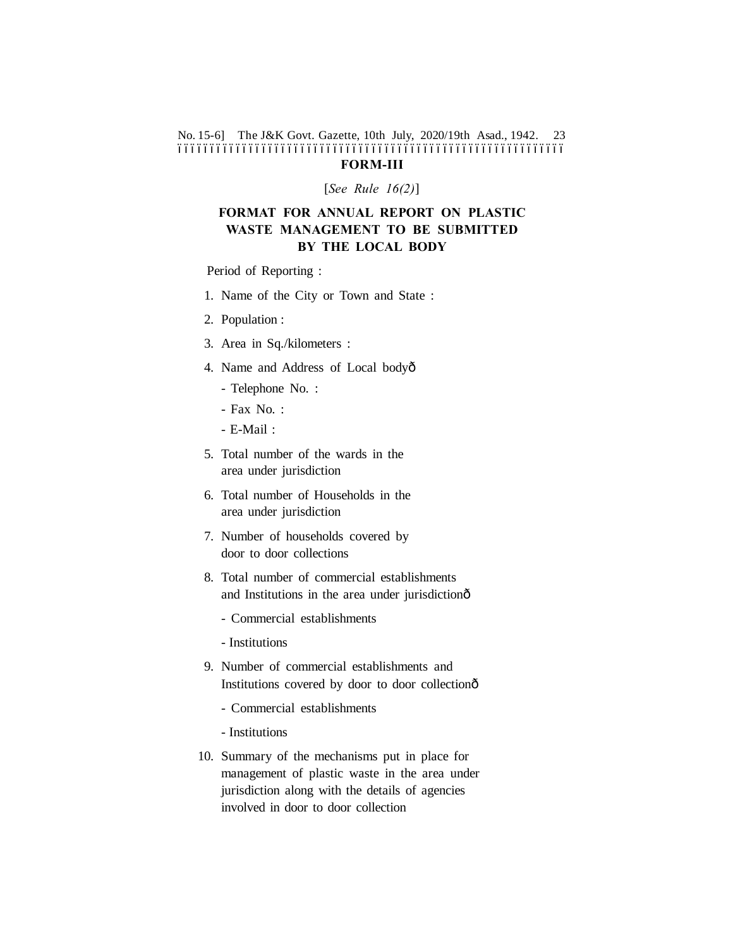#### No. 15-6] The J&K Govt. Gazette, 10th July, 2020/19th Asad., 1942. 23 –––––––––––––––––––––––––––––––––––––––––––––––––––––––––––– **FORM-III**

[*See Rule 16(2)*]

# **FORMAT FOR ANNUAL REPORT ON PLASTIC WASTE MANAGEMENT TO BE SUBMITTED BY THE LOCAL BODY**

Period of Reporting :

- 1. Name of the City or Town and State :
- 2. Population :
- 3. Area in Sq./kilometers :
- 4. Name and Address of Local bodyô
	- Telephone No. :
	- Fax No. :
	- E-Mail :
- 5. Total number of the wards in the area under jurisdiction
- 6. Total number of Households in the area under jurisdiction
- 7. Number of households covered by door to door collections
- 8. Total number of commercial establishments and Institutions in the area under jurisdictionô
	- Commercial establishments
	- Institutions
- 9. Number of commercial establishments and Institutions covered by door to door collectionô
	- Commercial establishments
	- Institutions
- 10. Summary of the mechanisms put in place for management of plastic waste in the area under jurisdiction along with the details of agencies involved in door to door collection